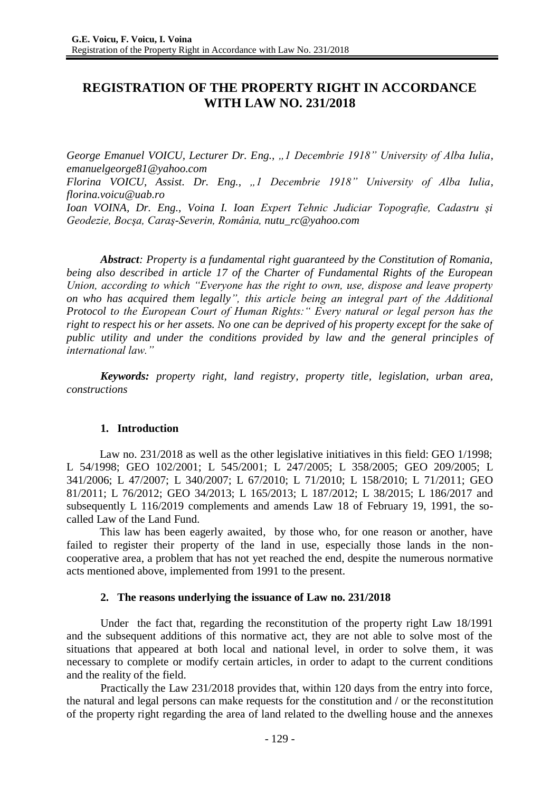# **REGISTRATION OF THE PROPERTY RIGHT IN ACCORDANCE WITH LAW NO. 231/2018**

*George Emanuel VOICU, Lecturer Dr. Eng., "1 Decembrie 1918" University of Alba Iulia, [emanuelgeorge81@yahoo.com](mailto:emanuelgeorge81@yahoo.com)*

*Florina VOICU, Assist. Dr. Eng., "1 Decembrie 1918" University of Alba Iulia, florina.voicu@uab.ro*

*Ioan VOINA, Dr. Eng., Voina I. Ioan Expert Tehnic Judiciar Topografie, Cadastru şi Geodezie, Bocşa, Caraş-Severin, România, [nutu\\_rc@yahoo.com](mailto:nutu_rc@yahoo.com)*

*Abstract: Property is a fundamental right guaranteed by the Constitution of Romania, being also described in article 17 of the Charter of Fundamental Rights of the European Union, according to which "Everyone has the right to own, use, dispose and leave property on who has acquired them legally", this article being an integral part of the Additional Protocol to the European Court of Human Rights:" Every natural or legal person has the right to respect his or her assets. No one can be deprived of his property except for the sake of public utility and under the conditions provided by law and the general principles of international law."*

*Keywords: property right, land registry, property title, legislation, urban area, constructions*

## **1. Introduction**

Law no. 231/2018 as well as the other legislative initiatives in this field: GEO 1/1998; L 54/1998; GEO 102/2001; L 545/2001; L 247/2005; L 358/2005; GEO 209/2005; L 341/2006; L 47/2007; L 340/2007; L 67/2010; L 71/2010; L 158/2010; L 71/2011; GEO 81/2011; L 76/2012; GEO 34/2013; L 165/2013; L 187/2012; L 38/2015; L 186/2017 and subsequently L 116/2019 complements and amends Law 18 of February 19, 1991, the socalled Law of the Land Fund.

This law has been eagerly awaited, by those who, for one reason or another, have failed to register their property of the land in use, especially those lands in the noncooperative area, a problem that has not yet reached the end, despite the numerous normative acts mentioned above, implemented from 1991 to the present.

## **2. The reasons underlying the issuance of Law no. 231/2018**

Under the fact that, regarding the reconstitution of the property right Law 18/1991 and the subsequent additions of this normative act, they are not able to solve most of the situations that appeared at both local and national level, in order to solve them, it was necessary to complete or modify certain articles, in order to adapt to the current conditions and the reality of the field.

Practically the Law 231/2018 provides that, within 120 days from the entry into force, the natural and legal persons can make requests for the constitution and / or the reconstitution of the property right regarding the area of land related to the dwelling house and the annexes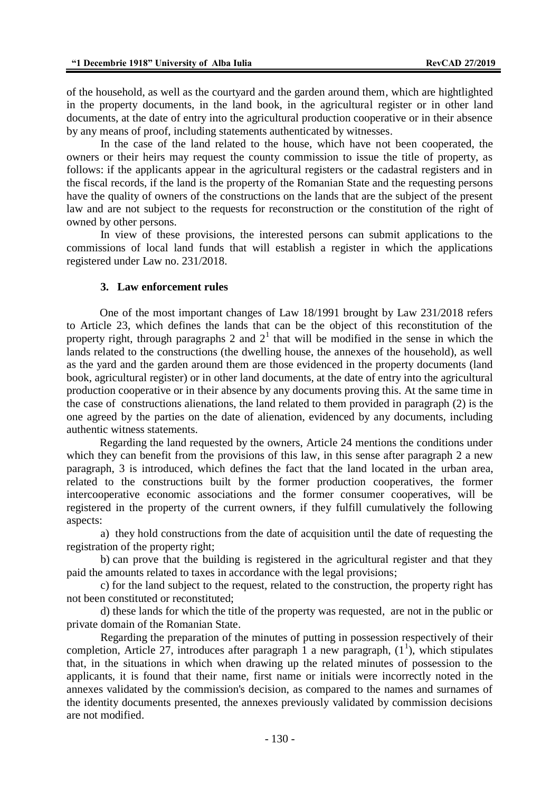of the household, as well as the courtyard and the garden around them, which are hightlighted in the property documents, in the land book, in the agricultural register or in other land documents, at the date of entry into the agricultural production cooperative or in their absence by any means of proof, including statements authenticated by witnesses.

In the case of the land related to the house, which have not been cooperated, the owners or their heirs may request the county commission to issue the title of property, as follows: if the applicants appear in the agricultural registers or the cadastral registers and in the fiscal records, if the land is the property of the Romanian State and the requesting persons have the quality of owners of the constructions on the lands that are the subject of the present law and are not subject to the requests for reconstruction or the constitution of the right of owned by other persons.

In view of these provisions, the interested persons can submit applications to the commissions of local land funds that will establish a register in which the applications registered under Law no. 231/2018.

#### **3. Law enforcement rules**

One of the most important changes of Law 18/1991 brought by Law 231/2018 refers to Article 23, which defines the lands that can be the object of this reconstitution of the property right, through paragraphs 2 and  $2<sup>1</sup>$  that will be modified in the sense in which the lands related to the constructions (the dwelling house, the annexes of the household), as well as the yard and the garden around them are those evidenced in the property documents (land book, agricultural register) or in other land documents, at the date of entry into the agricultural production cooperative or in their absence by any documents proving this. At the same time in the case of constructions alienations, the land related to them provided in paragraph (2) is the one agreed by the parties on the date of alienation, evidenced by any documents, including authentic witness statements.

Regarding the land requested by the owners, Article 24 mentions the conditions under which they can benefit from the provisions of this law, in this sense after paragraph 2 a new paragraph, 3 is introduced, which defines the fact that the land located in the urban area, related to the constructions built by the former production cooperatives, the former intercooperative economic associations and the former consumer cooperatives, will be registered in the property of the current owners, if they fulfill cumulatively the following aspects:

a) they hold constructions from the date of acquisition until the date of requesting the registration of the property right;

b) can prove that the building is registered in the agricultural register and that they paid the amounts related to taxes in accordance with the legal provisions;

c) for the land subject to the request, related to the construction, the property right has not been constituted or reconstituted;

d) these lands for which the title of the property was requested, are not in the public or private domain of the Romanian State.

Regarding the preparation of the minutes of putting in possession respectively of their completion, Article 27, introduces after paragraph 1 a new paragraph,  $(1^1)$ , which stipulates that, in the situations in which when drawing up the related minutes of possession to the applicants, it is found that their name, first name or initials were incorrectly noted in the annexes validated by the commission's decision, as compared to the names and surnames of the identity documents presented, the annexes previously validated by commission decisions are not modified.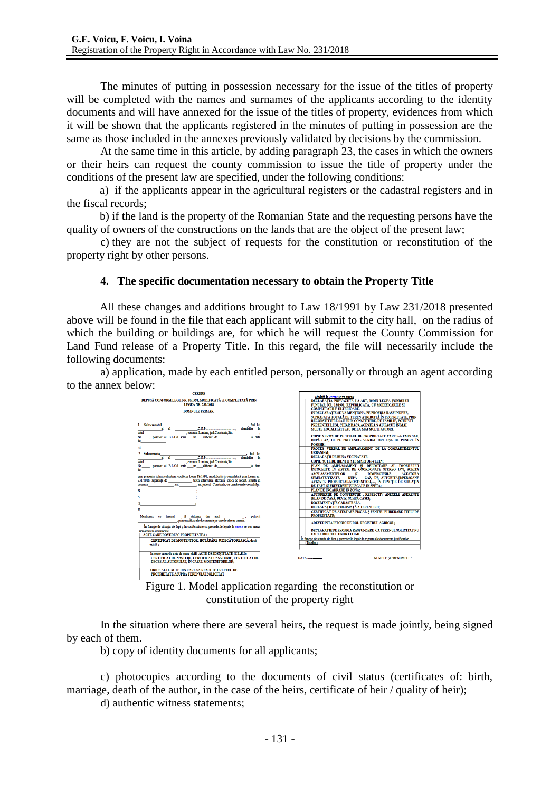The minutes of putting in possession necessary for the issue of the titles of property will be completed with the names and surnames of the applicants according to the identity documents and will have annexed for the issue of the titles of property, evidences from which it will be shown that the applicants registered in the minutes of putting in possession are the same as those included in the annexes previously validated by decisions by the commission.

At the same time in this article, by adding paragraph 23, the cases in which the owners or their heirs can request the county commission to issue the title of property under the conditions of the present law are specified, under the following conditions:

a) if the applicants appear in the agricultural registers or the cadastral registers and in the fiscal records;

b) if the land is the property of the Romanian State and the requesting persons have the quality of owners of the constructions on the lands that are the object of the present law;

c) they are not the subject of requests for the constitution or reconstitution of the property right by other persons.

### **4. The specific documentation necessary to obtain the Property Title**

All these changes and additions brought to Law 18/1991 by Law 231/2018 presented above will be found in the file that each applicant will submit to the city hall, on the radius of which the building or buildings are, for which he will request the County Commission for Land Fund release of a Property Title. In this regard, the file will necessarily include the following documents:

a) application, made by each entitled person, personally or through an agent according to the annex below:





In the situation where there are several heirs, the request is made jointly, being signed by each of them.

b) copy of identity documents for all applicants;

c) photocopies according to the documents of civil status (certificates of: birth, marriage, death of the author, in the case of the heirs, certificate of heir / quality of heir);

d) authentic witness statements;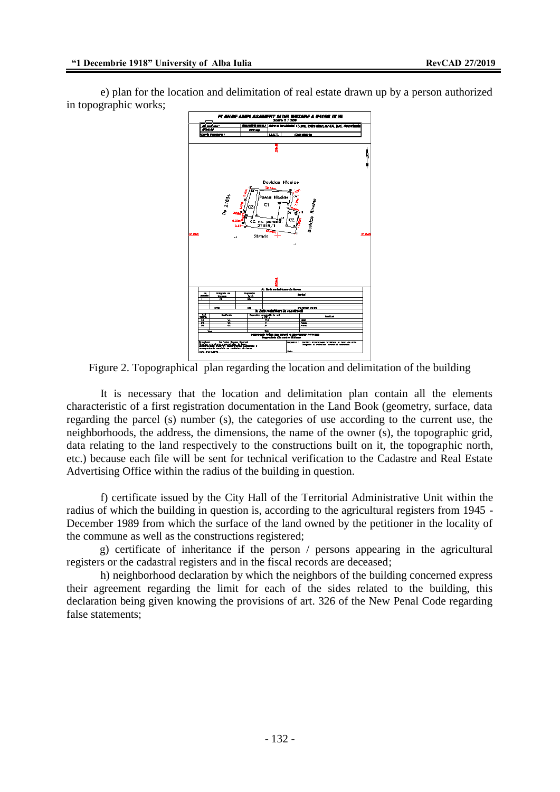e) plan for the location and delimitation of real estate drawn up by a person authorized in topographic works;



Figure 2. Topographical plan regarding the location and delimitation of the building

It is necessary that the location and delimitation plan contain all the elements characteristic of a first registration documentation in the Land Book (geometry, surface, data regarding the parcel (s) number (s), the categories of use according to the current use, the neighborhoods, the address, the dimensions, the name of the owner (s), the topographic grid, data relating to the land respectively to the constructions built on it, the topographic north, etc.) because each file will be sent for technical verification to the Cadastre and Real Estate Advertising Office within the radius of the building in question.

f) certificate issued by the City Hall of the Territorial Administrative Unit within the radius of which the building in question is, according to the agricultural registers from 1945 - December 1989 from which the surface of the land owned by the petitioner in the locality of the commune as well as the constructions registered;

g) certificate of inheritance if the person / persons appearing in the agricultural registers or the cadastral registers and in the fiscal records are deceased;

h) neighborhood declaration by which the neighbors of the building concerned express their agreement regarding the limit for each of the sides related to the building, this declaration being given knowing the provisions of art. 326 of the New Penal Code regarding false statements;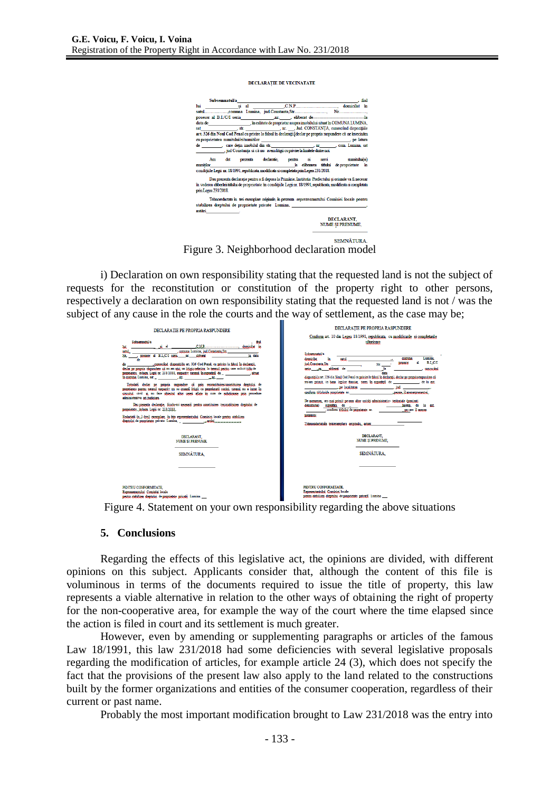```
DECLARATIE DE VECINATATE
```


Figure 3. Neighborhood declaration model

i) Declaration on own responsibility stating that the requested land is not the subject of requests for the reconstitution or constitution of the property right to other persons, respectively a declaration on own responsibility stating that the requested land is not / was the subject of any cause in the role the courts and the way of settlement, as the case may be;

| DECLARATIE PE PROPRIA RASPUNDERE                                                                                                                                                                                                                                                                                                                                                                                                                                                                                                                                                                                                                                                                                                                                                                                                                                                                                                                                                                        | DECLARATIE PE PROPRIA RASPUNDERE                                                                                                                                                                                                                                                                                                                                                                                                                                                                                                                                                                                                                                                                                                                                                                                                                                                                                                                                                                                                                                                     |
|---------------------------------------------------------------------------------------------------------------------------------------------------------------------------------------------------------------------------------------------------------------------------------------------------------------------------------------------------------------------------------------------------------------------------------------------------------------------------------------------------------------------------------------------------------------------------------------------------------------------------------------------------------------------------------------------------------------------------------------------------------------------------------------------------------------------------------------------------------------------------------------------------------------------------------------------------------------------------------------------------------|--------------------------------------------------------------------------------------------------------------------------------------------------------------------------------------------------------------------------------------------------------------------------------------------------------------------------------------------------------------------------------------------------------------------------------------------------------------------------------------------------------------------------------------------------------------------------------------------------------------------------------------------------------------------------------------------------------------------------------------------------------------------------------------------------------------------------------------------------------------------------------------------------------------------------------------------------------------------------------------------------------------------------------------------------------------------------------------|
| Subsemnatul/a<br>. ful<br>ai al CNP COLOR domicilat în<br>lui                                                                                                                                                                                                                                                                                                                                                                                                                                                                                                                                                                                                                                                                                                                                                                                                                                                                                                                                           | Conform art. 10 din Legea 18/1991, republicata, cu modificarile si completarile<br>ulterioare                                                                                                                                                                                                                                                                                                                                                                                                                                                                                                                                                                                                                                                                                                                                                                                                                                                                                                                                                                                        |
| comuna Lumina jud.Constants.Str.<br>satul<br>posesor al B.L.C./I seria nr. eliberat<br>la data<br>Nr.<br>, canoscând dispozitiile art. 326 Cod Penal, cu privire la falsul în declaratii.<br>de l<br>declar pe propria răspundere că nu am nici un litigiu referitor la terenul pentru care solicit titlu de<br>proprietate, in baza Legii nr. 231/2018, respectiv terenul în suprafață de _ _ _ _ _ _ _ , situat<br>Totodată declar ne propria raspundere că prin reconstituirea/constituirea dreptului de<br>proprietate pentru terenul respectiv, nu se creesză litigii cu proprietarii vecini, terenul nu a intrat în<br>circuitul civil si nu face obiectul altor cereri aflate în curs de solutionare prin procedure<br>administrative ori judiciare.<br>Dau prezenta declaratie, fiindu-mi necesară pentru constituirea /reconstituirea dreptului de<br>proprietate . în baza Legii nr. 231/2018.<br>Redactată în 3 (trei) exemplare, în fata reprezentantului Comisiei locale pentru stabilirea | Subsemnatul/a<br><b>Lumina</b><br>comuna<br>domicilat<br>satul<br>B.L/C/I<br>яl<br><b>nosesor</b><br>ind Constants Str.<br>Nr<br>la<br>cunoscând<br>aeria .nr. eliberat de<br>data<br>dispozițiile art. 326 din Noul Cod Penal cu privire la falsul în declarații, declar ne propria raspundere că<br>nu/am nrimit, in haza legilor funciar, teren în suprafată de control de la aut.<br><b>Example 1 occalitates and the contract of the contract of the contract of the contract of the contract of the contract of the contract of the contract of the contract of the contract of the contract of the contract of the</b><br>conform titluluide proprietate nr. The conformation of the conformation of the conformation of the conformation of the conformation of the conformation of the conformation of the conformation of the conformation of the con<br>De asemenea, am mai primit pe raza altor unități administrativ- teritoriale (precizati<br>denumirea) auprafata de<br>ha/mp, de la aut.<br>. conform titlului de proprietate nr.<br>ne care il anexez<br>prezentei |
| DECLARANT.<br><b>NUME SI PRENUME.</b>                                                                                                                                                                                                                                                                                                                                                                                                                                                                                                                                                                                                                                                                                                                                                                                                                                                                                                                                                                   | Tehnoredactatain treiexemplare originale, astazi<br>DECLARANT.<br>NUME SI PRENUME.                                                                                                                                                                                                                                                                                                                                                                                                                                                                                                                                                                                                                                                                                                                                                                                                                                                                                                                                                                                                   |
| SEMNÄTURA.                                                                                                                                                                                                                                                                                                                                                                                                                                                                                                                                                                                                                                                                                                                                                                                                                                                                                                                                                                                              | SEMNÁTURA.                                                                                                                                                                                                                                                                                                                                                                                                                                                                                                                                                                                                                                                                                                                                                                                                                                                                                                                                                                                                                                                                           |
|                                                                                                                                                                                                                                                                                                                                                                                                                                                                                                                                                                                                                                                                                                                                                                                                                                                                                                                                                                                                         |                                                                                                                                                                                                                                                                                                                                                                                                                                                                                                                                                                                                                                                                                                                                                                                                                                                                                                                                                                                                                                                                                      |
| PENTRU CONFORMITATE<br>Reprezentantului Comisiei locale<br>pentru stabilirea dreptului de proprietate privată Lumina                                                                                                                                                                                                                                                                                                                                                                                                                                                                                                                                                                                                                                                                                                                                                                                                                                                                                    | PENTRU CONFORMITATE.<br>Reprezentantului Comisiei locale<br>pentru stabilirea drentului de proprietate privată Lumina                                                                                                                                                                                                                                                                                                                                                                                                                                                                                                                                                                                                                                                                                                                                                                                                                                                                                                                                                                |

Figure 4. Statement on your own responsibility regarding the above situations

#### **5. Conclusions**

Regarding the effects of this legislative act, the opinions are divided, with different opinions on this subject. Applicants consider that, although the content of this file is voluminous in terms of the documents required to issue the title of property, this law represents a viable alternative in relation to the other ways of obtaining the right of property for the non-cooperative area, for example the way of the court where the time elapsed since the action is filed in court and its settlement is much greater.

However, even by amending or supplementing paragraphs or articles of the famous Law 18/1991, this law 231/2018 had some deficiencies with several legislative proposals regarding the modification of articles, for example article 24 (3), which does not specify the fact that the provisions of the present law also apply to the land related to the constructions built by the former organizations and entities of the consumer cooperation, regardless of their current or past name.

Probably the most important modification brought to Law 231/2018 was the entry into